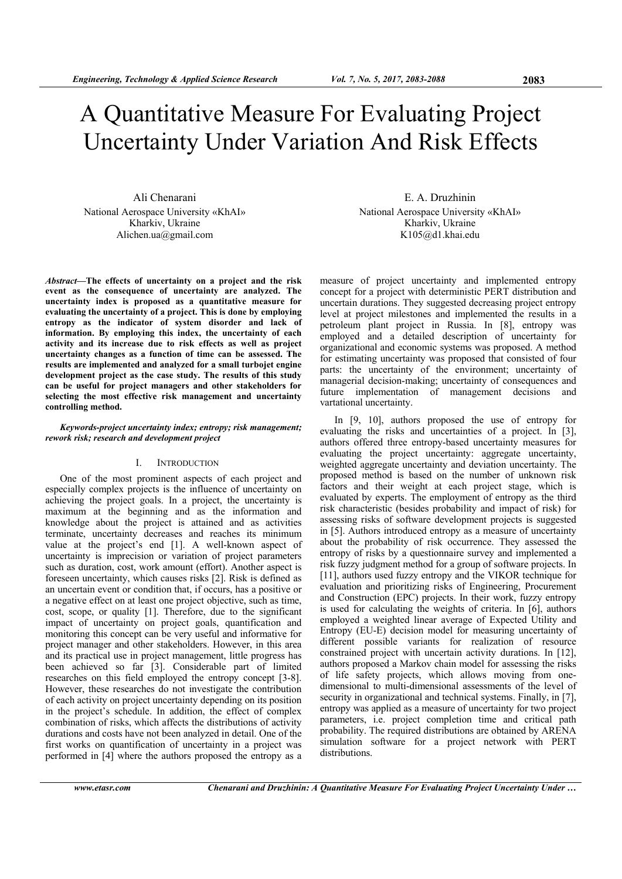# A Quantitative Measure For Evaluating Project Uncertainty Under Variation And Risk Effects

Ali Chenarani National Aerospace University «KhAI» Kharkiv, Ukraine Alichen.ua@gmail.com

*Abstract***—The effects of uncertainty on a project and the risk event as the consequence of uncertainty are analyzed. The uncertainty index is proposed as a quantitative measure for evaluating the uncertainty of a project. This is done by employing entropy as the indicator of system disorder and lack of information. By employing this index, the uncertainty of each activity and its increase due to risk effects as well as project uncertainty changes as a function of time can be assessed. The results are implemented and analyzed for a small turbojet engine development project as the case study. The results of this study can be useful for project managers and other stakeholders for selecting the most effective risk management and uncertainty controlling method.** 

### *Keywords-project uncertainty index; entropy; risk management; rework risk; research and development project*

### I. INTRODUCTION

One of the most prominent aspects of each project and especially complex projects is the influence of uncertainty on achieving the project goals. In a project, the uncertainty is maximum at the beginning and as the information and knowledge about the project is attained and as activities terminate, uncertainty decreases and reaches its minimum value at the project's end [1]. A well-known aspect of uncertainty is imprecision or variation of project parameters such as duration, cost, work amount (effort). Another aspect is foreseen uncertainty, which causes risks [2]. Risk is defined as an uncertain event or condition that, if occurs, has a positive or a negative effect on at least one project objective, such as time, cost, scope, or quality [1]. Therefore, due to the significant impact of uncertainty on project goals, quantification and monitoring this concept can be very useful and informative for project manager and other stakeholders. However, in this area and its practical use in project management, little progress has been achieved so far [3]. Considerable part of limited researches on this field employed the entropy concept [3-8]. However, these researches do not investigate the contribution of each activity on project uncertainty depending on its position in the project's schedule. In addition, the effect of complex combination of risks, which affects the distributions of activity durations and costs have not been analyzed in detail. One of the first works on quantification of uncertainty in a project was performed in [4] where the authors proposed the entropy as a

E. A. Druzhinin National Aerospace University «KhAI» Kharkiv, Ukraine K105@d1.khai.edu

measure of project uncertainty and implemented entropy concept for a project with deterministic PERT distribution and uncertain durations. They suggested decreasing project entropy level at project milestones and implemented the results in a petroleum plant project in Russia. In [8], entropy was employed and a detailed description of uncertainty for organizational and economic systems was proposed. A method for estimating uncertainty was proposed that consisted of four parts: the uncertainty of the environment; uncertainty of managerial decision-making; uncertainty of consequences and future implementation of management decisions and vartational uncertainty.

In [9, 10], authors proposed the use of entropy for evaluating the risks and uncertainties of a project. In [3], authors offered three entropy-based uncertainty measures for evaluating the project uncertainty: aggregate uncertainty, weighted aggregate uncertainty and deviation uncertainty. The proposed method is based on the number of unknown risk factors and their weight at each project stage, which is evaluated by experts. The employment of entropy as the third risk characteristic (besides probability and impact of risk) for assessing risks of software development projects is suggested in [5]. Authors introduced entropy as a measure of uncertainty about the probability of risk occurrence. They assessed the entropy of risks by a questionnaire survey and implemented a risk fuzzy judgment method for a group of software projects. In [11], authors used fuzzy entropy and the VIKOR technique for evaluation and prioritizing risks of Engineering, Procurement and Construction (EPC) projects. In their work, fuzzy entropy is used for calculating the weights of criteria. In [6], authors employed a weighted linear average of Expected Utility and Entropy (EU-E) decision model for measuring uncertainty of different possible variants for realization of resource constrained project with uncertain activity durations. In [12], authors proposed a Markov chain model for assessing the risks of life safety projects, which allows moving from onedimensional to multi-dimensional assessments of the level of security in organizational and technical systems. Finally, in [7], entropy was applied as a measure of uncertainty for two project parameters, i.e. project completion time and critical path probability. The required distributions are obtained by ARENA simulation software for a project network with PERT distributions.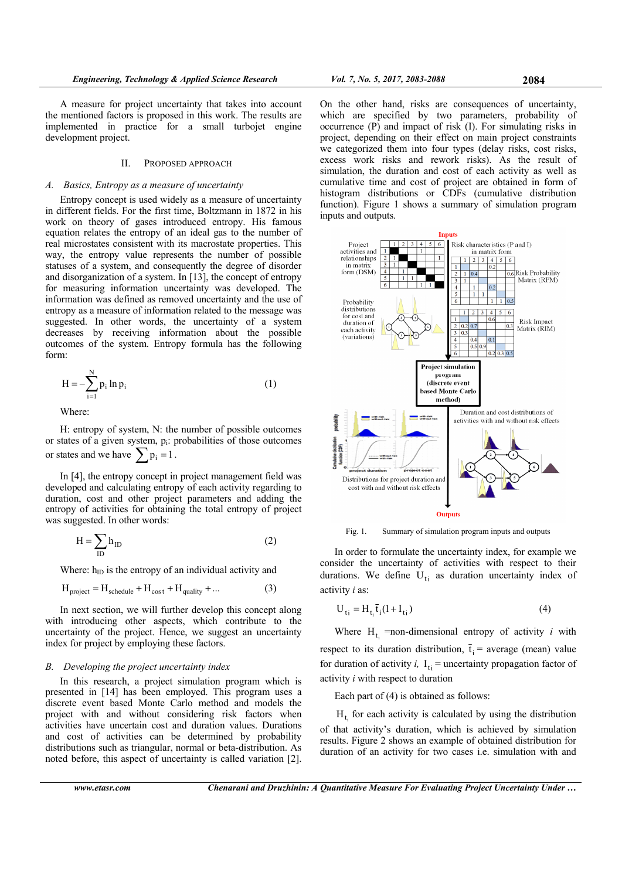A measure for project uncertainty that takes into account the mentioned factors is proposed in this work. The results are implemented in practice for a small turbojet engine development project.

#### II. PROPOSED APPROACH

### *A. Basics, Entropy as a measure of uncertainty*

Entropy concept is used widely as a measure of uncertainty in different fields. For the first time, Boltzmann in 1872 in his work on theory of gases introduced entropy. His famous equation relates the entropy of an ideal gas to the number of real microstates consistent with its macrostate properties. This way, the entropy value represents the number of possible statuses of a system, and consequently the degree of disorder and disorganization of a system. In [13], the concept of entropy for measuring information uncertainty was developed. The information was defined as removed uncertainty and the use of entropy as a measure of information related to the message was suggested. In other words, the uncertainty of a system decreases by receiving information about the possible outcomes of the system. Entropy formula has the following form:

$$
H = -\sum_{i=1}^{N} p_i \ln p_i \tag{1}
$$

Where:

H: entropy of system, N: the number of possible outcomes or states of a given system, pi: probabilities of those outcomes or states and we have  $\sum p_i = 1$ .

In [4], the entropy concept in project management field was developed and calculating entropy of each activity regarding to duration, cost and other project parameters and adding the entropy of activities for obtaining the total entropy of project was suggested. In other words:

$$
H = \sum_{ID} h_{ID}
$$
 (2)

Where:  $h_{ID}$  is the entropy of an individual activity and

$$
H_{\text{project}} = H_{\text{schedule}} + H_{\text{cost}} + H_{\text{quality}} + \dots \tag{3}
$$

In next section, we will further develop this concept along with introducing other aspects, which contribute to the uncertainty of the project. Hence, we suggest an uncertainty index for project by employing these factors.

# *B. Developing the project uncertainty index*

In this research, a project simulation program which is presented in [14] has been employed. This program uses a discrete event based Monte Carlo method and models the project with and without considering risk factors when activities have uncertain cost and duration values. Durations and cost of activities can be determined by probability distributions such as triangular, normal or beta-distribution. As noted before, this aspect of uncertainty is called variation [2].

On the other hand, risks are consequences of uncertainty, which are specified by two parameters, probability of occurrence (P) and impact of risk (I). For simulating risks in project, depending on their effect on main project constraints we categorized them into four types (delay risks, cost risks, excess work risks and rework risks). As the result of simulation, the duration and cost of each activity as well as cumulative time and cost of project are obtained in form of histogram distributions or CDFs (cumulative distribution function). Figure 1 shows a summary of simulation program inputs and outputs.



Fig. 1. Summary of simulation program inputs and outputs

In order to formulate the uncertainty index, for example we consider the uncertainty of activities with respect to their durations. We define  $U_{t_i}$  as duration uncertainty index of activity *i* as:

$$
U_{t_i} = H_{t_i} \bar{t}_i (1 + I_{t_i})
$$
\n(4)

Where  $H_t$  =non-dimensional entropy of activity *i* with respect to its duration distribution,  $\bar{t}_i$  = average (mean) value for duration of activity *i*,  $I_{ti}$  = uncertainty propagation factor of activity *i* with respect to duration

Each part of (4) is obtained as follows:

 $H_t$  for each activity is calculated by using the distribution of that activity's duration, which is achieved by simulation results. Figure 2 shows an example of obtained distribution for duration of an activity for two cases i.e. simulation with and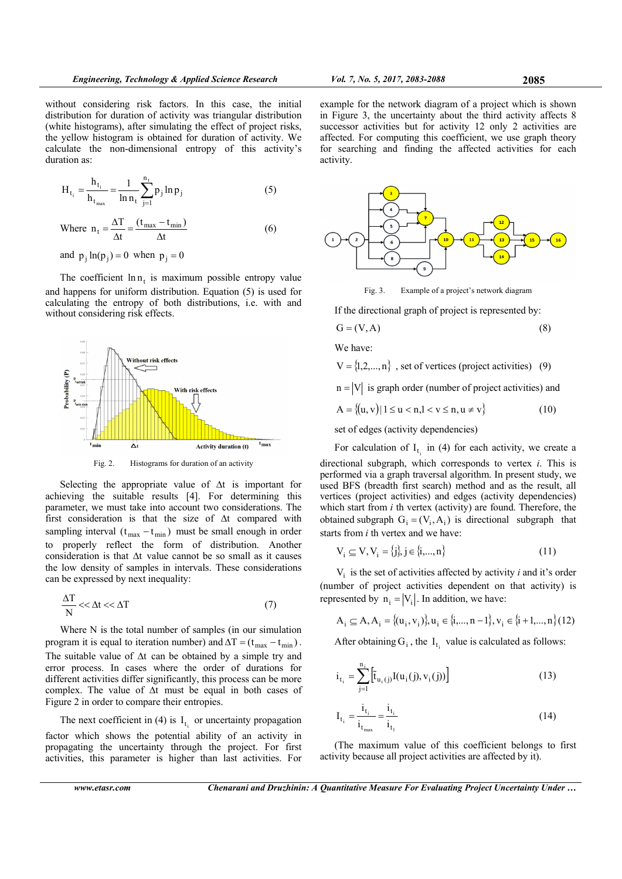without considering risk factors. In this case, the initial distribution for duration of activity was triangular distribution (white histograms), after simulating the effect of project risks, the yellow histogram is obtained for duration of activity. We calculate the non-dimensional entropy of this activity's duration as:

$$
H_{t_i} = \frac{h_{t_i}}{h_{t_{max}}} = \frac{1}{\ln n_t} \sum_{j=1}^{n_t} p_j \ln p_j
$$
 (5)

Where 
$$
n_t = \frac{\Delta T}{\Delta t} = \frac{(t_{max} - t_{min})}{\Delta t}
$$
 (6)

and  $p_i ln(p_i) = 0$  when  $p_i = 0$ 

The coefficient  $\ln n_t$  is maximum possible entropy value and happens for uniform distribution. Equation (5) is used for calculating the entropy of both distributions, i.e. with and without considering risk effects.



Fig. 2. Histograms for duration of an activity

Selecting the appropriate value of  $\Delta t$  is important for achieving the suitable results [4]. For determining this parameter, we must take into account two considerations. The first consideration is that the size of  $\Delta t$  compared with sampling interval  $(t_{max} - t_{min})$  must be small enough in order to properly reflect the form of distribution. Another consideration is that  $\Delta t$  value cannot be so small as it causes the low density of samples in intervals. These considerations can be expressed by next inequality:

$$
\frac{\Delta T}{N} << \Delta t << \Delta T \tag{7}
$$

Where N is the total number of samples (in our simulation program it is equal to iteration number) and  $\Delta T = (t_{max} - t_{min})$ . The suitable value of  $\Delta t$  can be obtained by a simple try and error process. In cases where the order of durations for different activities differ significantly, this process can be more complex. The value of  $\Delta t$  must be equal in both cases of Figure 2 in order to compare their entropies.

The next coefficient in (4) is  $I_{t_i}$  or uncertainty propagation factor which shows the potential ability of an activity in propagating the uncertainty through the project. For first activities, this parameter is higher than last activities. For

example for the network diagram of a project which is shown in Figure 3, the uncertainty about the third activity affects 8 successor activities but for activity 12 only 2 activities are affected. For computing this coefficient, we use graph theory for searching and finding the affected activities for each activity.



Fig. 3. Example of a project's network diagram

If the directional graph of project is represented by:

$$
G = (V, A) \tag{8}
$$

We have:

 $V = \{1,2,...,n\}$ , set of vertices (project activities) (9)

 $n = |V|$  is graph order (number of project activities) and

$$
A = \{(u, v) | 1 \le u < n, 1 < v \le n, u \ne v\}
$$
 (10)

set of edges (activity dependencies)

For calculation of  $I_t$  in (4) for each activity, we create a directional subgraph, which corresponds to vertex *i*. This is performed via a graph traversal algorithm. In present study, we used BFS (breadth first search) method and as the result, all vertices (project activities) and edges (activity dependencies) which start from *i* th vertex (activity) are found. Therefore, the obtained subgraph  $G_i = (V_i, A_i)$  is directional subgraph that starts from *i* th vertex and we have:

$$
V_i \subseteq V, V_i = \{j\}, j \in \{i, ..., n\}
$$
\n(11)

 $V_i$  is the set of activities affected by activity *i* and it's order (number of project activities dependent on that activity) is represented by  $n_i = |V_i|$ . In addition, we have:

$$
A_i \subseteq A, A_i = \{(u_i, v_i)\}, u_i \in \{i, ..., n-1\}, v_i \in \{i+1, ..., n\} (12)
$$

After obtaining  $G_i$ , the  $I_i$  value is calculated as follows:

$$
i_{t_i} = \sum_{j=1}^{n_i} \left[ \bar{t}_{u_i(j)} I(u_i(j), v_i(j)) \right]
$$
 (13)

$$
I_{t_i} = \frac{i_{t_i}}{i_{t_{max}}} = \frac{i_{t_i}}{i_{t_i}}
$$
 (14)

(The maximum value of this coefficient belongs to first activity because all project activities are affected by it).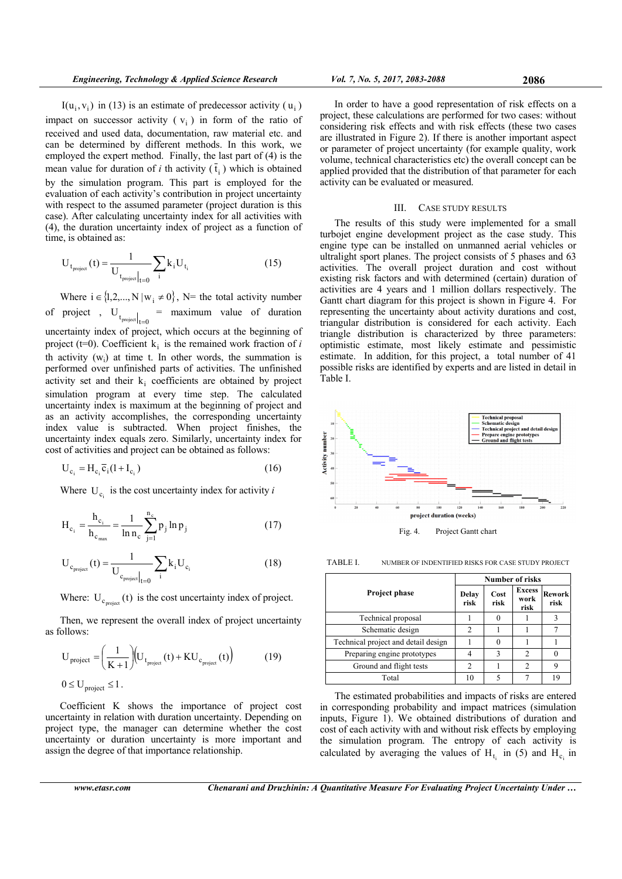$I(u_i, v_i)$  in (13) is an estimate of predecessor activity ( $u_i$ ) impact on successor activity ( $v_i$ ) in form of the ratio of received and used data, documentation, raw material etc. and can be determined by different methods. In this work, we employed the expert method. Finally, the last part of (4) is the mean value for duration of *i* th activity  $(\bar{t}_i)$  which is obtained by the simulation program. This part is employed for the evaluation of each activity's contribution in project uncertainty with respect to the assumed parameter (project duration is this case). After calculating uncertainty index for all activities with (4), the duration uncertainty index of project as a function of time, is obtained as:

$$
U_{t_{\text{project}}}(t) = \frac{1}{U_{t_{\text{project}}|_{t=0}}} \sum_{i} k_i U_{t_i}
$$
 (15)

Where  $i \in \{1,2,..., N \mid w_i \neq 0\}$ , N= the total activity number of project,  $U_{t_{\text{project}}|_{t=0}}$  = maximum value of duration uncertainty index of project, which occurs at the beginning of project ( $t=0$ ). Coefficient  $k_i$  is the remained work fraction of *i* th activity  $(w_i)$  at time t. In other words, the summation is performed over unfinished parts of activities. The unfinished activity set and their  $k_i$  coefficients are obtained by project simulation program at every time step. The calculated uncertainty index is maximum at the beginning of project and as an activity accomplishes, the corresponding uncertainty index value is subtracted. When project finishes, the uncertainty index equals zero. Similarly, uncertainty index for cost of activities and project can be obtained as follows:

$$
U_{c_i} = H_{c_i} \overline{c}_i (1 + I_{c_i})
$$
\n(16)

Where  $U_c$  is the cost uncertainty index for activity *i* 

$$
H_{c_i} = \frac{h_{c_i}}{h_{c_{max}}} = \frac{1}{\ln n_c} \sum_{j=1}^{n_c} p_j \ln p_j
$$
 (17)

$$
U_{c_{\text{project}}}(t) = \frac{1}{U_{c_{\text{project}}|_{t=0}}} \sum_{i} k_i U_{c_i}
$$
 (18)

Where:  $U_{c_{\text{resist}}}$  (t) is the cost uncertainty index of project.

Then, we represent the overall index of project uncertainty as follows:

$$
U_{project} = \left(\frac{1}{K+1}\right) \left(U_{t_{project}}(t) + K U_{c_{project}}(t)\right)
$$
 (19)  
 
$$
0 \le U_{project} \le 1.
$$

Coefficient K shows the importance of project cost uncertainty in relation with duration uncertainty. Depending on project type, the manager can determine whether the cost uncertainty or duration uncertainty is more important and assign the degree of that importance relationship.

In order to have a good representation of risk effects on a project, these calculations are performed for two cases: without considering risk effects and with risk effects (these two cases are illustrated in Figure 2). If there is another important aspect or parameter of project uncertainty (for example quality, work volume, technical characteristics etc) the overall concept can be applied provided that the distribution of that parameter for each activity can be evaluated or measured.

# III. CASE STUDY RESULTS

The results of this study were implemented for a small turbojet engine development project as the case study. This engine type can be installed on unmanned aerial vehicles or ultralight sport planes. The project consists of 5 phases and 63 activities. The overall project duration and cost without existing risk factors and with determined (certain) duration of activities are 4 years and 1 million dollars respectively. The Gantt chart diagram for this project is shown in Figure 4. For representing the uncertainty about activity durations and cost, triangular distribution is considered for each activity. Each triangle distribution is characterized by three parameters: optimistic estimate, most likely estimate and pessimistic estimate. In addition, for this project, a total number of 41 possible risks are identified by experts and are listed in detail in Table I.



TABLE I. NUMBER OF INDENTIFIED RISKS FOR CASE STUDY PROJECT

|                                     | <b>Number of risks</b> |              |                               |                       |
|-------------------------------------|------------------------|--------------|-------------------------------|-----------------------|
| <b>Project phase</b>                | Delay<br>risk          | Cost<br>risk | <b>Excess</b><br>work<br>risk | <b>Rework</b><br>risk |
| Technical proposal                  |                        | $\theta$     |                               | 3                     |
| Schematic design                    | 2                      |              |                               |                       |
| Technical project and detail design |                        | $\theta$     |                               |                       |
| Preparing engine prototypes         |                        | $\mathbf{3}$ | $\mathcal{D}$                 |                       |
| Ground and flight tests             | $\mathfrak{D}$         |              | $\mathcal{D}$                 | 9                     |
| Total                               | 10                     | 5            |                               | 19                    |

The estimated probabilities and impacts of risks are entered in corresponding probability and impact matrices (simulation inputs, Figure 1). We obtained distributions of duration and cost of each activity with and without risk effects by employing the simulation program. The entropy of each activity is calculated by averaging the values of  $H_t$  in (5) and  $H_c$  in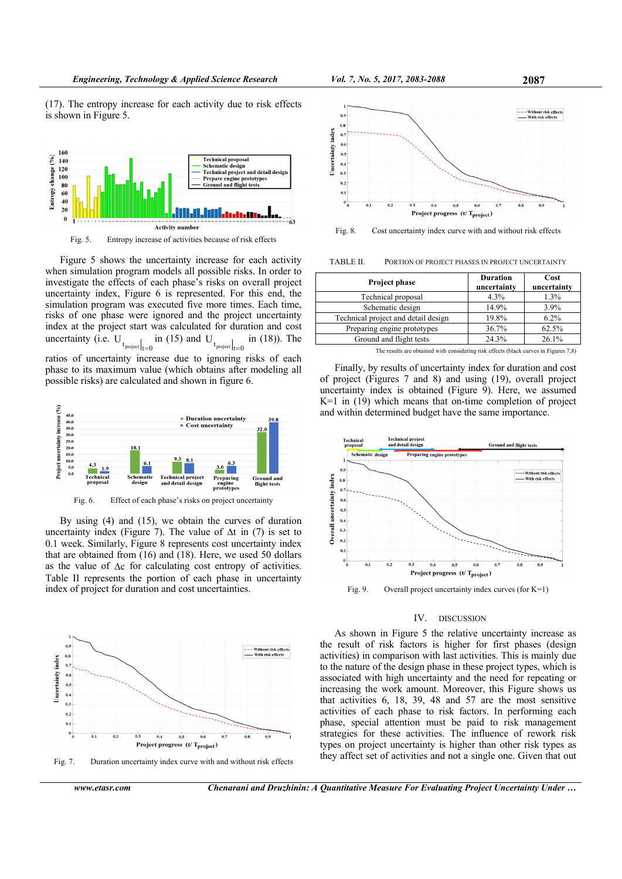(17). The entropy increase for each activity due to risk effects is shown in Figure 5.



Fig. 5. Entropy increase of activities because of risk effects

Figure 5 shows the uncertainty increase for each activity when simulation program models all possible risks. In order to investigate the effects of each phase's risks on overall project uncertainty index, Figure 6 is represented. For this end, the simulation program was executed five more times. Each time, risks of one phase were ignored and the project uncertainty index at the project start was calculated for duration and cost uncertainty (i.e.  $U_t_{\text{project}}|_{t=0}$ in (15) and  $U_t$ <sub>t project</sub>  $\vert_{t=0}$  in (18)). The ratios of uncertainty increase due to ignoring risks of each phase to its maximum value (which obtains after modeling all possible risks) are calculated and shown in figure 6.



Fig. 6. Effect of each phase's risks on project uncertainty

By using (4) and (15), we obtain the curves of duration uncertainty index (Figure 7). The value of  $\Delta t$  in (7) is set to 0.1 week. Similarly, Figure 8 represents cost uncertainty index that are obtained from (16) and (18). Here, we used 50 dollars as the value of  $\Delta c$  for calculating cost entropy of activities. Table II represents the portion of each phase in uncertainty index of project for duration and cost uncertainties.



Fig. 7. Duration uncertainty index curve with and without risk effects

*www.etasr.com Chenarani and Druzhinin: A Quantitative Measure For Evaluating Project Uncertainty Under …* 



Fig. 8. Cost uncertainty index curve with and without risk effects

TABLE II. PORTION OF PROJECT PHASES IN PROJECT UNCERTAINTY

| Project phase                                                                                                                                                                                                                  | <b>Duration</b><br>uncertainty | Cost<br>uncertainty |  |
|--------------------------------------------------------------------------------------------------------------------------------------------------------------------------------------------------------------------------------|--------------------------------|---------------------|--|
| Technical proposal                                                                                                                                                                                                             | 4.3%                           | 1.3%                |  |
| Schematic design                                                                                                                                                                                                               | 14.9%                          | 3.9%                |  |
| Technical project and detail design                                                                                                                                                                                            | 19.8%                          | 6.2%                |  |
| Preparing engine prototypes                                                                                                                                                                                                    | 36.7%                          | 62.5%               |  |
| Ground and flight tests                                                                                                                                                                                                        | 24.3%                          | 26.1%               |  |
| and the transfer and the state and an entirely and the state of the state of the state of the state of the state of the state of the state of the state of the state of the state of the state of the state of the state of th |                                | $\sim$ $\sim$       |  |

 $T$  results are results are results are obtained with considering risk effects (black curves in Figures 7,8)

Finally, by results of uncertainty index for duration and cost of project (Figures 7 and 8) and using (19), overall project uncertainty index is obtained (Figure 9). Here, we assumed  $K=1$  in (19) which means that on-time completion of project and within determined budget have the same importance.



Fig. 9. Overall project uncertainty index curves (for K=1)

#### IV. DISCUSSION

As shown in Figure 5 the relative uncertainty increase as the result of risk factors is higher for first phases (design activities) in comparison with last activities. This is mainly due to the nature of the design phase in these project types, which is associated with high uncertainty and the need for repeating or increasing the work amount. Moreover, this Figure shows us that activities 6, 18, 39, 48 and 57 are the most sensitive activities of each phase to risk factors. In performing each phase, special attention must be paid to risk management strategies for these activities. The influence of rework risk types on project uncertainty is higher than other risk types as they affect set of activities and not a single one. Given that out